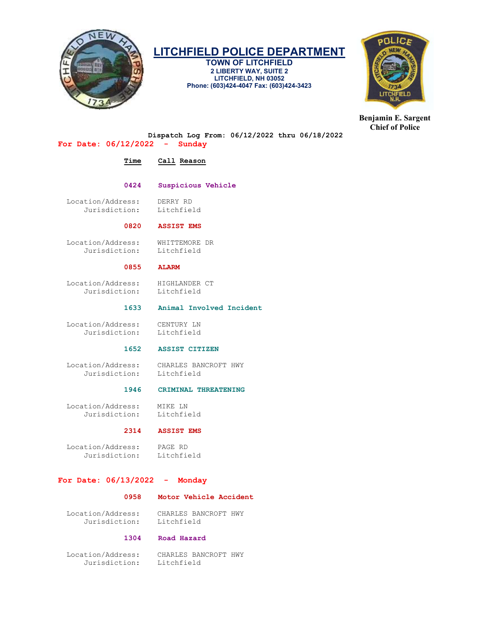

TOWN OF LITCHFIELD 2 LIBERTY WAY, SUITE 2 LITCHFIELD, NH 03052 Phone: (603)424-4047 Fax: (603)424-3423



Benjamin E. Sargent Chief of Police

Dispatch Log From: 06/12/2022 thru 06/18/2022

# For Date: 06/12/2022 - Sunday

# Time Call Reason

# 0424 Suspicious Vehicle

 Location/Address: DERRY RD Jurisdiction: Litchfield

# 0820 ASSIST EMS

Location/Address: WHITTEMORE DR<br>Jurisdiction: Litchfield Jurisdiction:

# 0855 ALARM

Location/Address: HIGHLANDER CT<br>Jurisdiction: Litchfield Jurisdiction:

# 1633 Animal Involved Incident

 Location/Address: CENTURY LN Jurisdiction: Litchfield

# 1652 ASSIST CITIZEN

 Location/Address: CHARLES BANCROFT HWY Jurisdiction:

### 1946 CRIMINAL THREATENING

 Location/Address: MIKE LN Jurisdiction:

# 2314 ASSIST EMS

 Location/Address: PAGE RD Jurisdiction: Litchfield

# For Date: 06/13/2022 - Monday

# 0958 Motor Vehicle Accident

 Location/Address: CHARLES BANCROFT HWY Jurisdiction:

# 1304 Road Hazard

 Location/Address: CHARLES BANCROFT HWY Jurisdiction: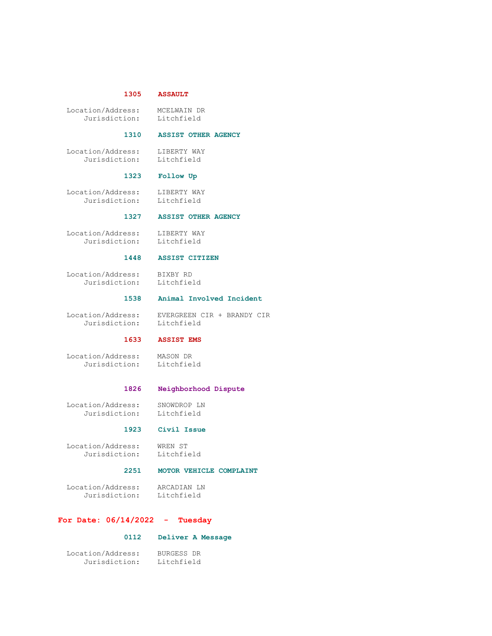### 1305 ASSAULT

 Location/Address: MCELWAIN DR Jurisdiction:

### 1310 ASSIST OTHER AGENCY

 Location/Address: LIBERTY WAY Jurisdiction: Litchfield

### 1323 Follow Up

 Location/Address: LIBERTY WAY Jurisdiction: Litchfield

### 1327 ASSIST OTHER AGENCY

 Location/Address: LIBERTY WAY Jurisdiction: Litchfield

### 1448 ASSIST CITIZEN

 Location/Address: BIXBY RD Jurisdiction: Litchfield

### 1538 Animal Involved Incident

 Location/Address: EVERGREEN CIR + BRANDY CIR Jurisdiction: Litchfield

## 1633 ASSIST EMS

 Location/Address: MASON DR MASUN L.<br>Litchfield

### 1826 Neighborhood Dispute

 Location/Address: SNOWDROP LN Jurisdiction: Litchfield

#### 1923 Civil Issue

 Location/Address: WREN ST Jurisdiction: Litchfield

### 2251 MOTOR VEHICLE COMPLAINT

 Location/Address: ARCADIAN LN Jurisdiction: Litchfield

### For Date: 06/14/2022 - Tuesday

#### 0112 Deliver A Message

 Location/Address: BURGESS DR Jurisdiction: Litchfield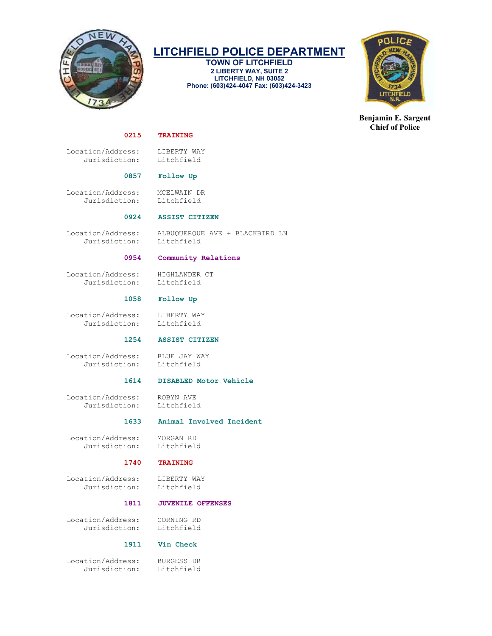

TOWN OF LITCHFIELD 2 LIBERTY WAY, SUITE 2 LITCHFIELD, NH 03052 Phone: (603)424-4047 Fax: (603)424-3423



Benjamin E. Sargent Chief of Police

### 0215 TRAINING

Location/Address: LIBERTY WAY<br>Jurisdiction: Litchfield Jurisdiction:

### 0857 Follow Up

 Location/Address: MCELWAIN DR Jurisdiction: Litchfield

### 0924 ASSIST CITIZEN

Jurisdiction: Litchfield

Location/Address: ALBUQUERQUE AVE + BLACKBIRD LN

### 0954 Community Relations

Location/Address: HIGHLANDER CT<br>Jurisdiction: Litchfield Jurisdiction:

### 1058 Follow Up

Location/Address: LIBERTY WAY<br>Jurisdiction: Litchfield Jurisdiction:

1254 ASSIST CITIZEN

 Location/Address: BLUE JAY WAY Jurisdiction: Litchfield

# 1614 DISABLED Motor Vehicle

Location/Address: ROBYN AVE<br>Jurisdiction: Litchfield Jurisdiction:

### 1633 Animal Involved Incident

 Location/Address: MORGAN RD Jurisdiction:

### 1740 TRAINING

 Location/Address: LIBERTY WAY Jurisdiction: Litchfield

# 1811 JUVENILE OFFENSES

 Location/Address: CORNING RD Jurisdiction:

### 1911 Vin Check

 Location/Address: BURGESS DR Jurisdiction: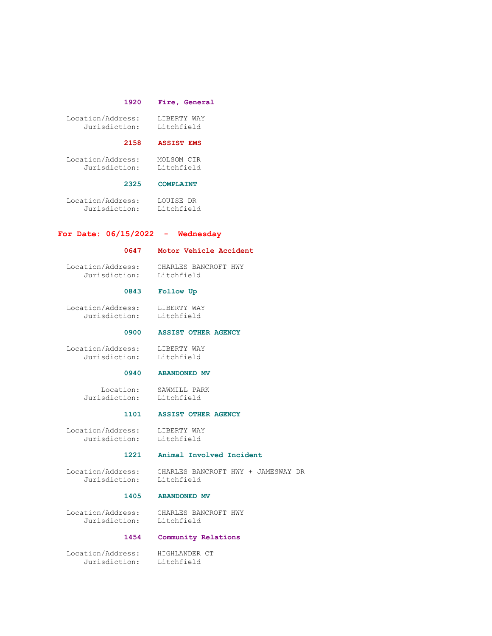### 1920 Fire, General

| Location/Address: | LIBERTY WAY |
|-------------------|-------------|
| Jurisdiction:     | Litchfield  |

#### 2158 ASSIST EMS

 Location/Address: MOLSOM CIR Jurisdiction: Litchfield

#### 2325 COMPLAINT

 Location/Address: LOUISE DR Jurisdiction: Litchfield

# For Date: 06/15/2022 - Wednesday

### 0647 Motor Vehicle Accident

 Location/Address: CHARLES BANCROFT HWY Jurisdiction: Litchfield

### 0843 Follow Up

 Location/Address: LIBERTY WAY Jurisdiction: Litchfield

### 0900 ASSIST OTHER AGENCY

Location/Address: LIBERTY WAY<br>Jurisdiction: Litchfield Jurisdiction:

### 0940 ABANDONED MV

Location: SAWMILL PARK<br>Jurisdiction: Litchfield Litchfield

#### 1101 ASSIST OTHER AGENCY

 Location/Address: LIBERTY WAY Jurisdiction: Litchfield

### 1221 Animal Involved Incident

 Location/Address: CHARLES BANCROFT HWY + JAMESWAY DR Jurisdiction:

# 1405 ABANDONED MV

 Location/Address: CHARLES BANCROFT HWY Litchfield

# 1454 Community Relations

 Location/Address: HIGHLANDER CT Jurisdiction: Litchfield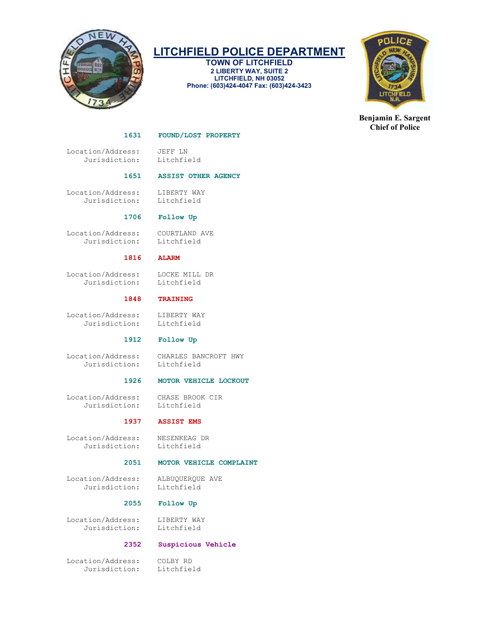

TOWN OF LITCHFIELD 2 LIBERTY WAY, SUITE 2 LITCHFIELD, NH 03052 Phone: (603)424-4047 Fax: (603)424-3423



Benjamin E. Sargent Chief of Police

### 1631 FOUND/LOST PROPERTY

Location/Address: JEFF LN<br>Jurisdiction: Litchfield Jurisdiction:

### 1651 ASSIST OTHER AGENCY

 Location/Address: LIBERTY WAY Jurisdiction: Litchfield

1706 Follow Up

 Location/Address: COURTLAND AVE Jurisdiction: Litchfield

### 1816 ALARM

 Location/Address: LOCKE MILL DR Jurisdiction:

### 1848 TRAINING

Location/Address: LIBERTY WAY<br>Jurisdiction: Litchfield Jurisdiction:

### 1912 Follow Up

 Location/Address: CHARLES BANCROFT HWY Jurisdiction: Litchfield

# 1926 MOTOR VEHICLE LOCKOUT

 Location/Address: CHASE BROOK CIR Jurisdiction:

### 1937 ASSIST EMS

 Location/Address: NESENKEAG DR Jurisdiction:

### 2051 MOTOR VEHICLE COMPLAINT

 Location/Address: ALBUQUERQUE AVE Jurisdiction: Litchfield

### 2055 Follow Up

Location/Address: LIBERTY WAY<br>Jurisdiction: Litchfield Jurisdiction:

### 2352 Suspicious Vehicle

 Location/Address: COLBY RD Jurisdiction: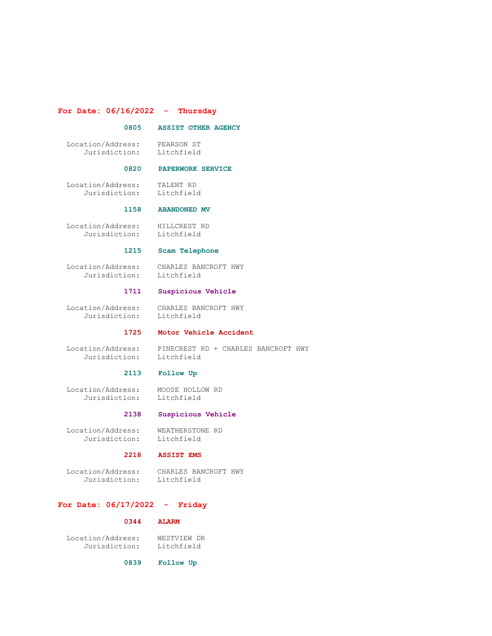### For Date: 06/16/2022 - Thursday

### 0805 ASSIST OTHER AGENCY

 Location/Address: PEARSON ST Jurisdiction: Litchfield

### 0820 PAPERWORK SERVICE

 Location/Address: TALENT RD Jurisdiction: Litchfield

#### 1158 ABANDONED MV

 Location/Address: HILLCREST RD Jurisdiction: Litchfield

### 1215 Scam Telephone

 Location/Address: CHARLES BANCROFT HWY Jurisdiction:

# 1711 Suspicious Vehicle

 Location/Address: CHARLES BANCROFT HWY Jurisdiction:

### 1725 Motor Vehicle Accident

Jurisdiction: Litchfield

Location/Address: PINECREST RD + CHARLES BANCROFT HWY

### 2113 Follow Up

Location/Address: MOOSE HOLLOW RD<br>Jurisdiction: Litchfield Jurisdiction:

### 2138 Suspicious Vehicle

 Location/Address: WEATHERSTONE RD Jurisdiction: Litchfield

### 2218 ASSIST EMS

Location/Address: CHARLES BANCROFT HWY<br>Jurisdiction: Litchfield Jurisdiction:

### For Date: 06/17/2022 - Friday

### 0344 ALARM

 Location/Address: WESTVIEW DR Jurisdiction:

0839 Follow Up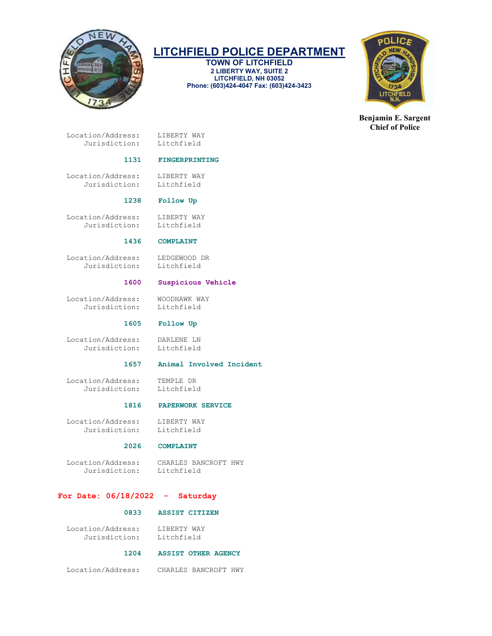

TOWN OF LITCHFIELD 2 LIBERTY WAY, SUITE 2 LITCHFIELD, NH 03052 Phone: (603)424-4047 Fax: (603)424-3423



Benjamin E. Sargent Chief of Police

 Location/Address: LIBERTY WAY Jurisdiction: Litchfield

### 1131 FINGERPRINTING

Location/Address: LIBERTY WAY<br>Jurisdiction: Litchfield Jurisdiction:

### 1238 Follow Up

Location/Address: LIBERTY WAY<br>Jurisdiction: Litchfield Jurisdiction:

### 1436 COMPLAINT

 Location/Address: LEDGEWOOD DR Jurisdiction:

### 1600 Suspicious Vehicle

 Location/Address: WOODHAWK WAY Jurisdiction: Litchfield

### 1605 Follow Up

 Location/Address: DARLENE LN Jurisdiction:

### 1657 Animal Involved Incident

 Location/Address: TEMPLE DR Jurisdiction:

### 1816 PAPERWORK SERVICE

Location/Address: LIBERTY WAY<br>Jurisdiction: Litchfield Jurisdiction:

# 2026 COMPLAINT

 Location/Address: CHARLES BANCROFT HWY Jurisdiction:

### For Date: 06/18/2022 - Saturday

### 0833 ASSIST CITIZEN

| Location/Address: | LIBERTY WAY |
|-------------------|-------------|
| Jurisdiction:     | Litchfield  |

### 1204 ASSIST OTHER AGENCY

Location/Address: CHARLES BANCROFT HWY